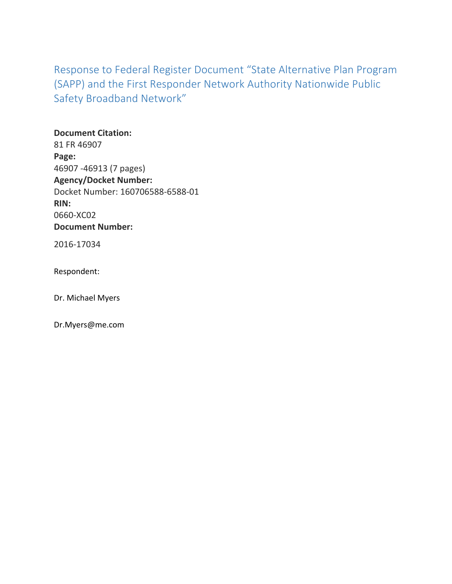Response to Federal Register Document "State Alternative Plan Program (SAPP) and the First Responder Network Authority Nationwide Public Safety Broadband Network"

**Document Citation:** 81 FR 46907 **Page:** 46907 -46913 (7 pages) **Agency/Docket Number:** Docket Number: 160706588-6588-01 **RIN:** 0660-XC02 **Document Number:**

2016-17034

Respondent: 

Dr. Michael Myers

Dr.Myers@me.com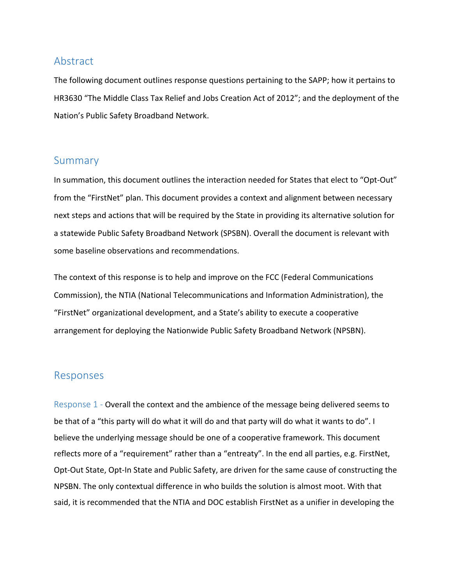# Abstract

The following document outlines response questions pertaining to the SAPP; how it pertains to HR3630 "The Middle Class Tax Relief and Jobs Creation Act of 2012"; and the deployment of the Nation's Public Safety Broadband Network.

# Summary

In summation, this document outlines the interaction needed for States that elect to "Opt-Out" from the "FirstNet" plan. This document provides a context and alignment between necessary next steps and actions that will be required by the State in providing its alternative solution for a statewide Public Safety Broadband Network (SPSBN). Overall the document is relevant with some baseline observations and recommendations.

The context of this response is to help and improve on the FCC (Federal Communications Commission), the NTIA (National Telecommunications and Information Administration), the "FirstNet" organizational development, and a State's ability to execute a cooperative arrangement for deploying the Nationwide Public Safety Broadband Network (NPSBN).

## Responses

Response  $1$  - Overall the context and the ambience of the message being delivered seems to be that of a "this party will do what it will do and that party will do what it wants to do". I believe the underlying message should be one of a cooperative framework. This document reflects more of a "requirement" rather than a "entreaty". In the end all parties, e.g. FirstNet, Opt-Out State, Opt-In State and Public Safety, are driven for the same cause of constructing the NPSBN. The only contextual difference in who builds the solution is almost moot. With that said, it is recommended that the NTIA and DOC establish FirstNet as a unifier in developing the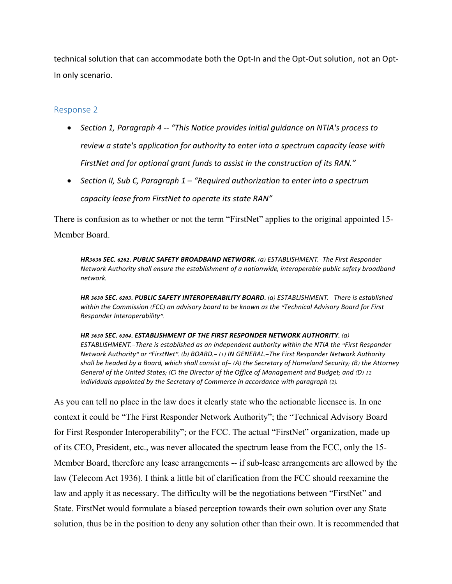technical solution that can accommodate both the Opt-In and the Opt-Out solution, not an Opt-In only scenario.

### Response 2

- Section 1, Paragraph 4 -- "This Notice provides initial guidance on NTIA's process to *review a state's application for authority to enter into a spectrum capacity lease with* FirstNet and for optional grant funds to assist in the construction of its RAN."
- Section II, Sub C, Paragraph 1 "Required authorization to enter into a spectrum capacity lease from FirstNet to operate its state RAN"

There is confusion as to whether or not the term "FirstNet" applies to the original appointed 15-

### Member Board.

*HR***3630** *SEC***. 6202.** *PUBLIC SAFETY BROADBAND NETWORK***.** (*a*) *ESTABLISHMENT*.—*The First Responder Network Authority shall ensure the establishment of a nationwide*, *interoperable public safety broadband network*.

*HR* **3630** *SEC***. 6203.** *PUBLIC SAFETY INTEROPERABILITY BOARD***.** (*a*) *ESTABLISHMENT*.— *There is established within the Commission* (*FCC*) *an advisory board to be known as the* ''*Technical Advisory Board for First Responder Interoperability*''.

*HR* **3630** *SEC***. 6204.** *ESTABLISHMENT OF THE FIRST RESPONDER NETWORK AUTHORITY***.** (*a*) *ESTABLISHMENT*.—*There is established as an independent authority within the NTIA the* ''*First Responder Network Authority*'' *or* ''*FirstNet*''. (*b*) *BOARD*.— (1) *IN GENERAL*.—*The First Responder Network Authority* shall be headed by a Board, which shall consist of  $-(A)$  the Secretary of Homeland Security; (B) the Attorney *General of the United States*; (*C*) *the Director of the Office of Management and Budget*; *and* (*D*) 12 *individuals appointed by the Secretary of Commerce in accordance with paragraph* (2).

As you can tell no place in the law does it clearly state who the actionable licensee is. In one context it could be "The First Responder Network Authority"; the "Technical Advisory Board for First Responder Interoperability"; or the FCC. The actual "FirstNet" organization, made up of its CEO, President, etc., was never allocated the spectrum lease from the FCC, only the 15- Member Board, therefore any lease arrangements -- if sub-lease arrangements are allowed by the law (Telecom Act 1936). I think a little bit of clarification from the FCC should reexamine the law and apply it as necessary. The difficulty will be the negotiations between "FirstNet" and State. FirstNet would formulate a biased perception towards their own solution over any State solution, thus be in the position to deny any solution other than their own. It is recommended that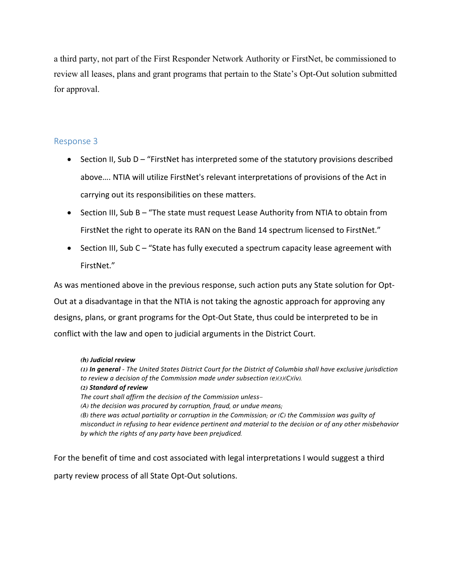a third party, not part of the First Responder Network Authority or FirstNet, be commissioned to review all leases, plans and grant programs that pertain to the State's Opt-Out solution submitted for approval.

### Response 3

- Section II, Sub  $D -$  "FirstNet has interpreted some of the statutory provisions described above.... NTIA will utilize FirstNet's relevant interpretations of provisions of the Act in carrying out its responsibilities on these matters.
- Section III, Sub B "The state must request Lease Authority from NTIA to obtain from FirstNet the right to operate its RAN on the Band 14 spectrum licensed to FirstNet."
- Section III, Sub C "State has fully executed a spectrum capacity lease agreement with FirstNet."

As was mentioned above in the previous response, such action puts any State solution for Opt-Out at a disadvantage in that the NTIA is not taking the agnostic approach for approving any designs, plans, or grant programs for the Opt-Out State, thus could be interpreted to be in conflict with the law and open to judicial arguments in the District Court.

#### **(***h***)** *Judicial review*

(1) In general - The United States District Court for the District of Columbia shall have exclusive jurisdiction *to review a decision of the Commission made under subsection* (*e*)(3)(*C*)(*iv*). **(2)** *Standard of review The court shall affirm the decision of the Commission unless*— (*A*) *the decision was procured by corruption*, *fraud*, *or undue means*; (*B*) *there was actual partiality or corruption in the Commission*; *or* (*C*) *the Commission was guilty of* misconduct in refusing to hear evidence pertinent and material to the decision or of any other misbehavior *by which the rights of any party have been prejudiced*.

For the benefit of time and cost associated with legal interpretations I would suggest a third party review process of all State Opt-Out solutions.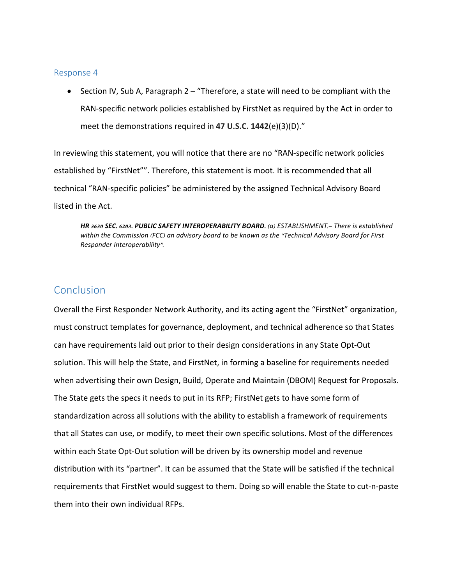#### Response 4

• Section IV, Sub A, Paragraph  $2 -$  "Therefore, a state will need to be compliant with the RAN-specific network policies established by FirstNet as required by the Act in order to meet the demonstrations required in 47 U.S.C. 1442(e)(3)(D)."

In reviewing this statement, you will notice that there are no "RAN-specific network policies established by "FirstNet"". Therefore, this statement is moot. It is recommended that all technical "RAN-specific policies" be administered by the assigned Technical Advisory Board listed in the Act.

*HR* **3630** *SEC***. 6203.** *PUBLIC SAFETY INTEROPERABILITY BOARD***.** (*a*) *ESTABLISHMENT*.— *There is established within the Commission* (*FCC*) *an advisory board to be known as the* ''*Technical Advisory Board for First Responder Interoperability*''.

# Conclusion

Overall the First Responder Network Authority, and its acting agent the "FirstNet" organization, must construct templates for governance, deployment, and technical adherence so that States can have requirements laid out prior to their design considerations in any State Opt-Out solution. This will help the State, and FirstNet, in forming a baseline for requirements needed when advertising their own Design, Build, Operate and Maintain (DBOM) Request for Proposals. The State gets the specs it needs to put in its RFP; FirstNet gets to have some form of standardization across all solutions with the ability to establish a framework of requirements that all States can use, or modify, to meet their own specific solutions. Most of the differences within each State Opt-Out solution will be driven by its ownership model and revenue distribution with its "partner". It can be assumed that the State will be satisfied if the technical requirements that FirstNet would suggest to them. Doing so will enable the State to cut-n-paste them into their own individual RFPs.